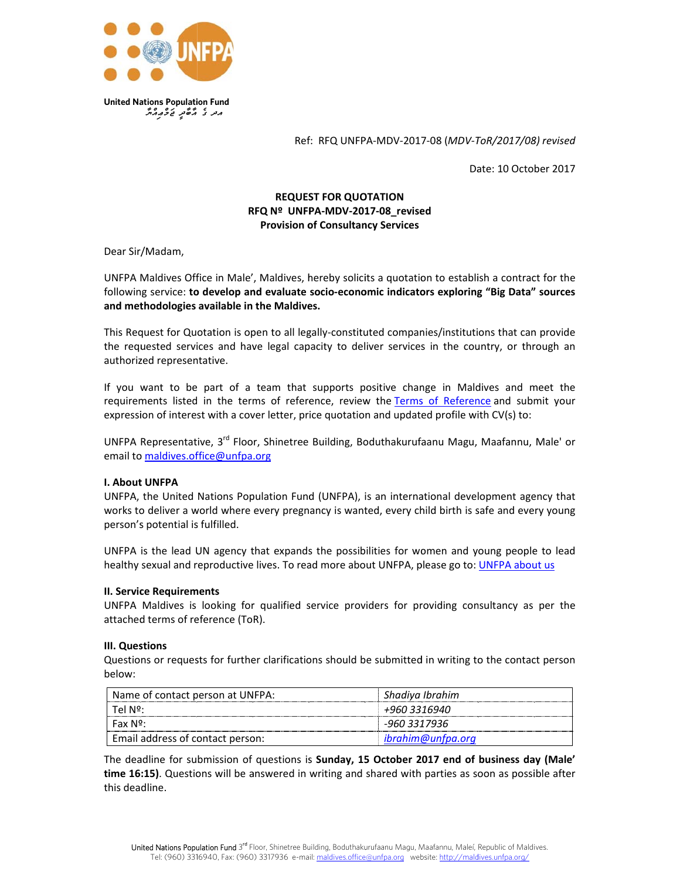

Ref: RFQ UNFPA-MDV-2017-08 (MDV-ToR/2017/08) revised

Date: 10 October 2017

# **REQUEST FOR QUOTATION** RFQ Nº UNFPA-MDV-2017-08 revised **Provision of Consultancy Services**

Dear Sir/Madam,

UNFPA Maldives Office in Male', Maldives, hereby solicits a quotation to establish a contract for the following service: to develop and evaluate socio-economic indicators exploring "Big Data" sources and methodologies available in the Maldives.

This Request for Quotation is open to all legally-constituted companies/institutions that can provide the requested services and have legal capacity to deliver services in the country, or through an authorized representative.

If you want to be part of a team that supports positive change in Maldives and meet the requirements listed in the terms of reference, review the Terms of Reference and submit your expression of interest with a cover letter, price quotation and updated profile with CV(s) to:

UNFPA Representative, 3<sup>rd</sup> Floor, Shinetree Building, Boduthakurufaanu Magu, Maafannu, Male' or email to maldives.office@unfpa.org

## **I. About UNFPA**

UNFPA, the United Nations Population Fund (UNFPA), is an international development agency that works to deliver a world where every pregnancy is wanted, every child birth is safe and every young person's potential is fulfilled.

UNFPA is the lead UN agency that expands the possibilities for women and young people to lead healthy sexual and reproductive lives. To read more about UNFPA, please go to: UNFPA about us

#### **II. Service Requirements**

UNFPA Maldives is looking for qualified service providers for providing consultancy as per the attached terms of reference (ToR).

#### **III. Questions**

Questions or requests for further clarifications should be submitted in writing to the contact person below:

| Name of contact person at UNFPA: | Shadiya Ibrahim   |  |
|----------------------------------|-------------------|--|
| Tel Nº:                          | +960 3316940      |  |
| Fax Nº:                          | -960 3317936      |  |
| Email address of contact person: | ibrahim@unfpa.org |  |

The deadline for submission of questions is Sunday, 15 October 2017 end of business day (Male' time 16:15). Questions will be answered in writing and shared with parties as soon as possible after this deadline.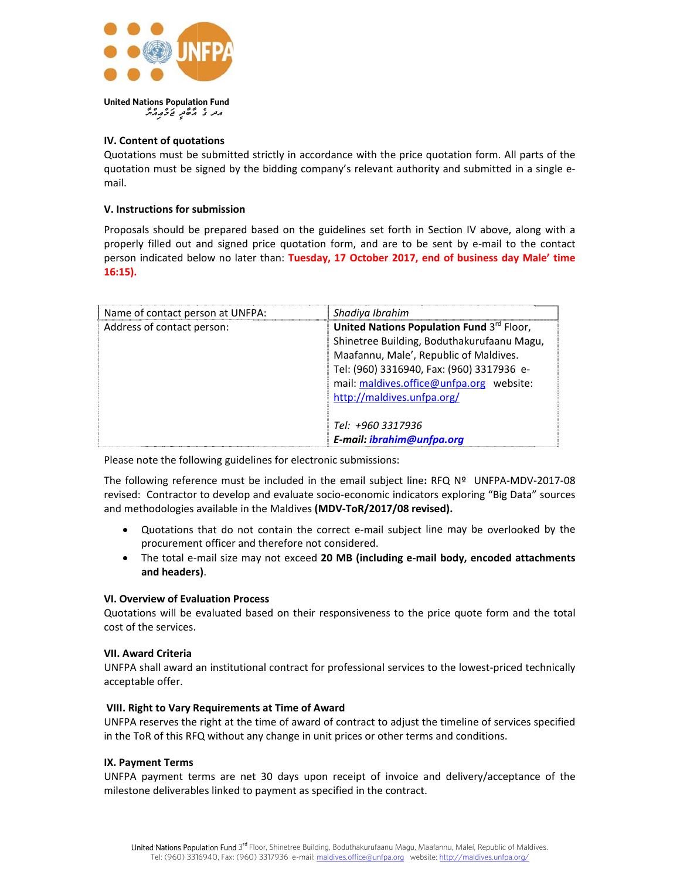

# IV. Content of quotations

Quotations must be submitted strictly in accordance with the price quotation form. All parts of the quotation must be signed by the bidding company's relevant authority and submitted in a single email.

### V. Instructions for submission

Proposals should be prepared based on the guidelines set forth in Section IV above, along with a properly filled out and signed price quotation form, and are to be sent by e-mail to the contact person indicated below no later than: Tuesday, 17 October 2017, end of business day Male' time  $16:15$ ).

| Name of contact person at UNFPA: | Shadiya Ibrahim                            |  |
|----------------------------------|--------------------------------------------|--|
| Address of contact person:       | United Nations Population Fund 3rd Floor,  |  |
|                                  | Shinetree Building, Boduthakurufaanu Magu, |  |
|                                  | Maafannu, Male', Republic of Maldives.     |  |
|                                  | Tel: (960) 3316940, Fax: (960) 3317936 e-  |  |
|                                  | mail: maldives.office@unfpa.org website:   |  |
|                                  | http://maldives.unfpa.org/                 |  |
|                                  |                                            |  |
|                                  | Tel: +960 3317936                          |  |
|                                  | E-mail: ibrahim@unfpa.org                  |  |

Please note the following guidelines for electronic submissions:

The following reference must be included in the email subject line: RFQ Nº UNFPA-MDV-2017-08 revised: Contractor to develop and evaluate socio-economic indicators exploring "Big Data" sources and methodologies available in the Maldives (MDV-ToR/2017/08 revised).

- Quotations that do not contain the correct e-mail subject line may be overlooked by the  $\bullet$ procurement officer and therefore not considered.
- The total e-mail size may not exceed 20 MB (including e-mail body, encoded attachments and headers).

## **VI. Overview of Evaluation Process**

Quotations will be evaluated based on their responsiveness to the price quote form and the total cost of the services.

#### **VII. Award Criteria**

UNFPA shall award an institutional contract for professional services to the lowest-priced technically acceptable offer.

#### VIII. Right to Vary Requirements at Time of Award

UNFPA reserves the right at the time of award of contract to adjust the timeline of services specified in the ToR of this RFQ without any change in unit prices or other terms and conditions.

### IX. Payment Terms

UNFPA payment terms are net 30 days upon receipt of invoice and delivery/acceptance of the milestone deliverables linked to payment as specified in the contract.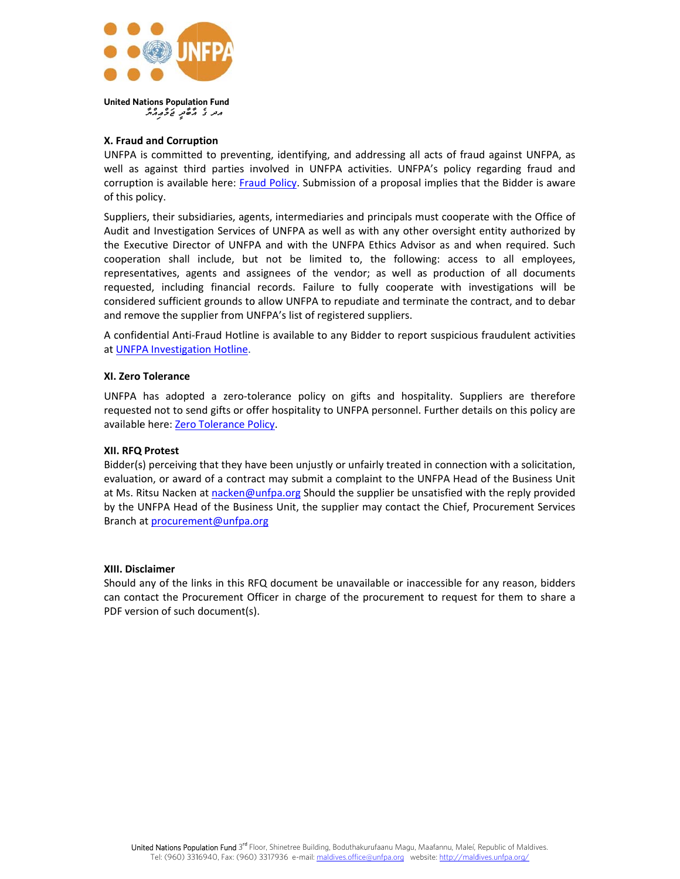

# X. Fraud and Corruption

معر کی مُرکھ نے گرم مگر

UNFPA is committed to preventing, identifying, and addressing all acts of fraud against UNFPA, as well as against third parties involved in UNFPA activities. UNFPA's policy regarding fraud and corruption is available here: Fraud Policy. Submission of a proposal implies that the Bidder is aware of this policy.

Suppliers, their subsidiaries, agents, intermediaries and principals must cooperate with the Office of Audit and Investigation Services of UNFPA as well as with any other oversight entity authorized by the Executive Director of UNFPA and with the UNFPA Ethics Advisor as and when required. Such cooperation shall include, but not be limited to, the following: access to all employees, representatives, agents and assignees of the vendor; as well as production of all documents requested, including financial records. Failure to fully cooperate with investigations will be considered sufficient grounds to allow UNFPA to repudiate and terminate the contract, and to debar and remove the supplier from UNFPA's list of registered suppliers.

A confidential Anti-Fraud Hotline is available to any Bidder to report suspicious fraudulent activities at UNFPA Investigation Hotline.

### XI. Zero Tolerance

UNFPA has adopted a zero-tolerance policy on gifts and hospitality. Suppliers are therefore requested not to send gifts or offer hospitality to UNFPA personnel. Further details on this policy are available here: Zero Tolerance Policy.

#### XII. RFQ Protest

Bidder(s) perceiving that they have been unjustly or unfairly treated in connection with a solicitation, evaluation, or award of a contract may submit a complaint to the UNFPA Head of the Business Unit at Ms. Ritsu Nacken at nacken@unfpa.org Should the supplier be unsatisfied with the reply provided by the UNFPA Head of the Business Unit, the supplier may contact the Chief, Procurement Services Branch at procurement@unfpa.org

#### XIII. Disclaimer

Should any of the links in this RFQ document be unavailable or inaccessible for any reason, bidders can contact the Procurement Officer in charge of the procurement to request for them to share a PDF version of such document(s).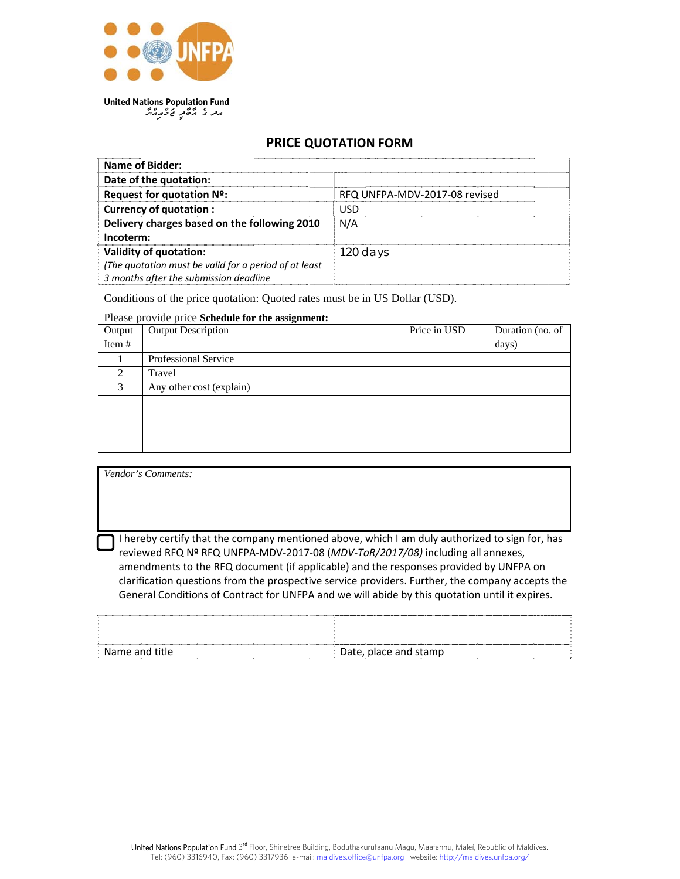

# **PRICE QUOTATION FORM**

| Name of Bidder:                                        |                               |
|--------------------------------------------------------|-------------------------------|
| Date of the quotation:                                 |                               |
| Request for quotation Nº:                              | RFQ UNFPA-MDV-2017-08 revised |
| <b>Currency of quotation:</b>                          | USD                           |
| Delivery charges based on the following 2010           | N/A                           |
| Incoterm:                                              |                               |
| <b>Validity of quotation:</b>                          | 120 days                      |
| (The quotation must be valid for a period of at least) |                               |
| 3 months after the submission deadline                 |                               |

Conditions of the price quotation: Quoted rates must be in US Dollar (USD).

# Please provide price Schedule for the assignment:

| Output         | <b>Output Description</b> | Price in USD | Duration (no. of |
|----------------|---------------------------|--------------|------------------|
| Item #         |                           |              | days)            |
|                | Professional Service      |              |                  |
| $\overline{2}$ | Travel                    |              |                  |
| 3              | Any other cost (explain)  |              |                  |
|                |                           |              |                  |
|                |                           |              |                  |
|                |                           |              |                  |
|                |                           |              |                  |

| Vendor's Comments:                                                                               |
|--------------------------------------------------------------------------------------------------|
|                                                                                                  |
|                                                                                                  |
|                                                                                                  |
| I hereby certify that the company mentioned above, which I am duly authorized to sign for, has   |
| reviewed RFQ Nº RFQ UNFPA-MDV-2017-08 (MDV-ToR/2017/08) including all annexes,                   |
| amendments to the RFQ document (if applicable) and the responses provided by UNFPA on            |
| clarification questions from the prospective service providers. Further, the company accepts the |
| General Conditions of Contract for UNFPA and we will abide by this quotation until it expires.   |